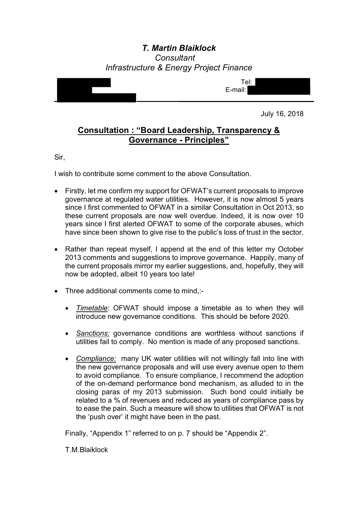# *T. Martin Blaiklock Consultant Infrastructure & Energy Project Finance*



July 16, 2018

# **Consultation : "Board Leadership, Transparency & Governance - Principles"**

Sir,

I wish to contribute some comment to the above Consultation.

- Firstly, let me confirm my support for OFWAT's current proposals to improve governance at regulated water utilities. However, it is now almost 5 years since I first commented to OFWAT in a similar Consultation in Oct 2013, so these current proposals are now well overdue. Indeed, it is now over 10 years since I first alerted OFWAT to some of the corporate abuses, which have since been shown to give rise to the public's loss of trust in the sector.
- Rather than repeat myself, I append at the end of this letter my October 2013 comments and suggestions to improve governance. Happily, many of the current proposals mirror my earlier suggestions, and, hopefully, they will now be adopted, albeit 10 years too late!
- Three additional comments come to mind,:-
	- *Timetable*: OFWAT should impose a timetable as to when they will introduce new governance conditions. This should be before 2020.
	- *Sanctions:* governance conditions are worthless without sanctions if utilities fail to comply. No mention is made of any proposed sanctions.
	- *Compliance:* many UK water utilities will not willingly fall into line with the new governance proposals and will use every avenue open to them to avoid compliance. To ensure compliance, I recommend the adoption of the on-demand performance bond mechanism, as alluded to in the closing paras of my 2013 submission. Such bond could initially be related to a % of revenues and reduced as years of compliance pass by to ease the pain. Such a measure will show to utilities that OFWAT is not the 'push over' it might have been in the past.

Finally, "Appendix 1" referred to on p. 7 should be "Appendix 2".

T.M.Blaiklock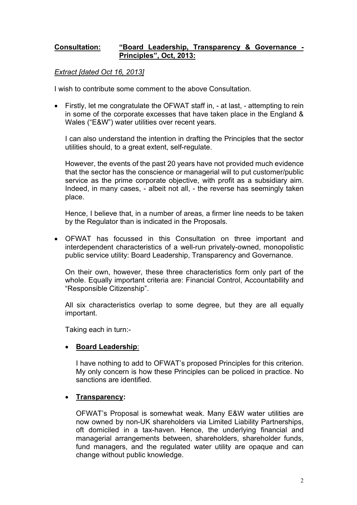### **Consultation: "Board Leadership, Transparency & Governance - Principles", Oct, 2013:**

*Extract [dated Oct 16, 2013]*

I wish to contribute some comment to the above Consultation.

• Firstly, let me congratulate the OFWAT staff in, - at last, - attempting to rein in some of the corporate excesses that have taken place in the England & Wales ("E&W") water utilities over recent years.

I can also understand the intention in drafting the Principles that the sector utilities should, to a great extent, self-regulate.

However, the events of the past 20 years have not provided much evidence that the sector has the conscience or managerial will to put customer/public service as the prime corporate objective, with profit as a subsidiary aim. Indeed, in many cases, - albeit not all, - the reverse has seemingly taken place.

Hence, I believe that, in a number of areas, a firmer line needs to be taken by the Regulator than is indicated in the Proposals.

• OFWAT has focussed in this Consultation on three important and interdependent characteristics of a well-run privately-owned, monopolistic public service utility: Board Leadership, Transparency and Governance.

On their own, however, these three characteristics form only part of the whole. Equally important criteria are: Financial Control, Accountability and "Responsible Citizenship".

All six characteristics overlap to some degree, but they are all equally important.

Taking each in turn:-

### • **Board Leadership**:

I have nothing to add to OFWAT's proposed Principles for this criterion. My only concern is how these Principles can be policed in practice. No sanctions are identified.

### • **Transparency:**

OFWAT's Proposal is somewhat weak. Many E&W water utilities are now owned by non-UK shareholders via Limited Liability Partnerships, oft domiciled in a tax-haven. Hence, the underlying financial and managerial arrangements between, shareholders, shareholder funds, fund managers, and the regulated water utility are opaque and can change without public knowledge.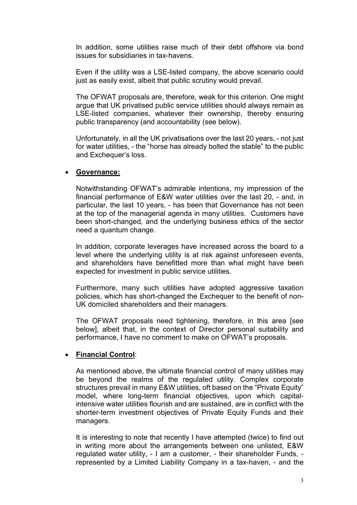In addition, some utilities raise much of their debt offshore via bond issues for subsidiaries in tax-havens.

Even if the utility was a LSE-listed company, the above scenario could just as easily exist, albeit that public scrutiny would prevail.

The OFWAT proposals are, therefore, weak for this criterion. One might argue that UK privatised public service utilities should always remain as LSE-listed companies, whatever their ownership, thereby ensuring public transparency (and accountability (see below).

Unfortunately, in all the UK privatisations over the last 20 years, - not just for water utilities, - the "horse has already bolted the stable" to the public and Exchequer's loss.

### • **Governance:**

Notwithstanding OFWAT's admirable intentions, my impression of the financial performance of E&W water utilities over the last 20, - and, in particular, the last 10 years, - has been that Governance has not been at the top of the managerial agenda in many utilities. Customers have been short-changed, and the underlying business ethics of the sector need a quantum change.

In addition, corporate leverages have increased across the board to a level where the underlying utility is at risk against unforeseen events, and shareholders have benefitted more than what might have been expected for investment in public service utilities.

Furthermore, many such utilities have adopted aggressive taxation policies, which has short-changed the Exchequer to the benefit of non-UK domiciled shareholders and their managers.

The OFWAT proposals need tightening, therefore, in this area [see below], albeit that, in the context of Director personal suitability and performance, I have no comment to make on OFWAT's proposals.

### • **Financial Control**:

As mentioned above, the ultimate financial control of many utilities may be beyond the realms of the regulated utility. Complex corporate structures prevail in many E&W utilities, oft based on the "Private Equity" model, where long-term financial objectives, upon which capitalintensive water utilities flourish and are sustained, are in conflict with the shorter-term investment objectives of Private Equity Funds and their managers.

It is interesting to note that recently I have attempted (twice) to find out in writing more about the arrangements between one unlisted, E&W regulated water utility, - I am a customer, - their shareholder Funds, represented by a Limited Liability Company in a tax-haven, - and the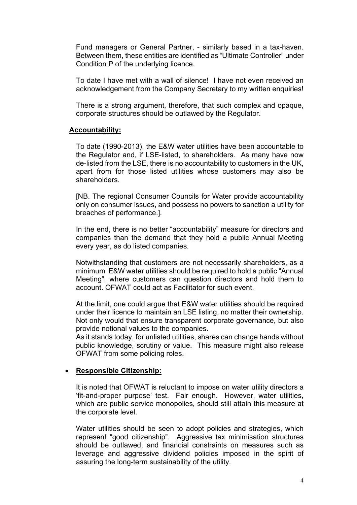Fund managers or General Partner, - similarly based in a tax-haven. Between them, these entities are identified as "Ultimate Controller" under Condition P of the underlying licence.

To date I have met with a wall of silence! I have not even received an acknowledgement from the Company Secretary to my written enquiries!

There is a strong argument, therefore, that such complex and opaque, corporate structures should be outlawed by the Regulator.

#### **Accountability:**

To date (1990-2013), the E&W water utilities have been accountable to the Regulator and, if LSE-listed, to shareholders. As many have now de-listed from the LSE, there is no accountability to customers in the UK, apart from for those listed utilities whose customers may also be shareholders.

[NB. The regional Consumer Councils for Water provide accountability only on consumer issues, and possess no powers to sanction a utility for breaches of performance.].

In the end, there is no better "accountability" measure for directors and companies than the demand that they hold a public Annual Meeting every year, as do listed companies.

Notwithstanding that customers are not necessarily shareholders, as a minimum E&W water utilities should be required to hold a public "Annual Meeting", where customers can question directors and hold them to account. OFWAT could act as Facilitator for such event.

At the limit, one could argue that E&W water utilities should be required under their licence to maintain an LSE listing, no matter their ownership. Not only would that ensure transparent corporate governance, but also provide notional values to the companies.

As it stands today, for unlisted utilities, shares can change hands without public knowledge, scrutiny or value. This measure might also release OFWAT from some policing roles.

#### • **Responsible Citizenship:**

It is noted that OFWAT is reluctant to impose on water utility directors a 'fit-and-proper purpose' test. Fair enough. However, water utilities, which are public service monopolies, should still attain this measure at the corporate level.

Water utilities should be seen to adopt policies and strategies, which represent "good citizenship". Aggressive tax minimisation structures should be outlawed, and financial constraints on measures such as leverage and aggressive dividend policies imposed in the spirit of assuring the long-term sustainability of the utility.